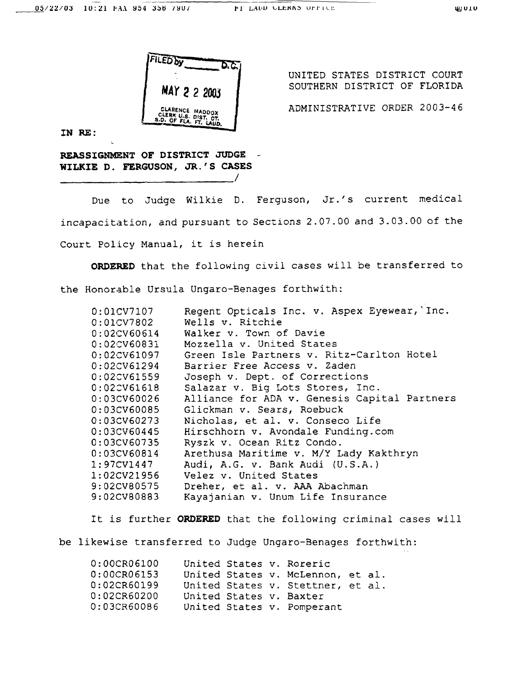

UNITED STATES DISTRICT COURT SOUTHERN DISTRICT OF FLORIDA

ADMINISTRATIVE ORDER 2003-46

IN RE:

REASSIGNMENT OF DISTRICT JUDGE WILKIE D. FERGUSON, JR.'S CASES

Due to Judge Wilkie D. Ferguson, Jr.'s current medical incapacitation, and pursuant to Sections 2.07.00 and 3.03.00 of the Court Policy Manual, it is herein

 $\overline{\phantom{a}}$ 

ORDERED that the following civil cases will be transferred to the Honorable Ursula Ungaro-Benages forthwith:

| 0:01CV7107              | Regent Opticals Inc. v. Aspex Eyewear, Inc.  |
|-------------------------|----------------------------------------------|
| 0:01CV7802              | Wells v. Ritchie                             |
| 0:02CV60614             | Walker v. Town of Davie                      |
| $0:02$ CV60831          | Mozzella v. United States                    |
| 0:02CV61097             | Green Isle Partners v. Ritz-Carlton Hotel    |
| 0:02CV61294             | Barrier Free Access v. Zaden                 |
| 0:02CV61559             | Joseph v. Dept. of Corrections               |
| 0:02CV61618             | Salazar v. Big Lots Stores, Inc.             |
| 0:03CV60026             | Alliance for ADA v. Genesis Capital Partners |
| 0:03CV60085             | Glickman v. Sears, Roebuck                   |
| 0:03CV60273             | Nicholas, et al. v. Conseco Life             |
| 0:03CV60445             | Hirschhorn v. Avondale Funding.com           |
| 0:03CV60735             | Ryszk v. Ocean Ritz Condo.                   |
| 0:03CV60814             | Arethusa Maritime v. M/Y Lady Kakthryn       |
| $1:97\mathtt{CV}{1447}$ | Audi, A.G. v. Bank Audi (U.S.A.)             |
| 1:02CV21956             | Velez v. United States                       |
| 9:02CV80575             | Dreher, et al. v. AAA Abachman               |
| 9:02CV80883             | Kayajanian v. Unum Life Insurance            |

It is further ORDERED that the following criminal cases will

be likewise transferred to Judge Ungaro-Benages forthwith:

| 0:00CR06100 |  | United States v. Roreric          |  |
|-------------|--|-----------------------------------|--|
| 0:00CR06153 |  | United States v. McLennon, et al. |  |
| 0:02CR60199 |  | United States v. Stettner, et al. |  |
| 0:02CR60200 |  | United States v. Baxter           |  |
| 0:03CR60086 |  | United States v. Pomperant        |  |